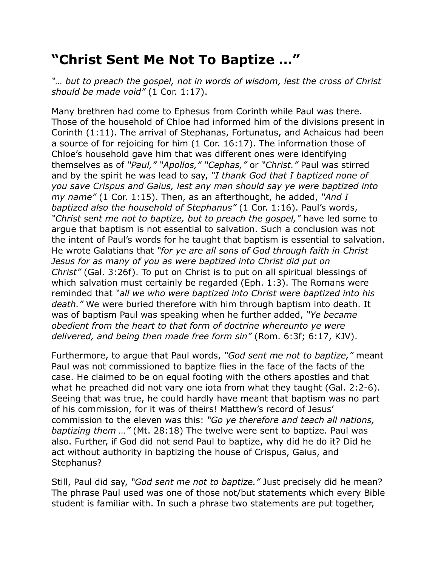## **"Christ Sent Me Not To Baptize …"**

*"… but to preach the gospel, not in words of wisdom, lest the cross of Christ should be made void"* (1 Cor. 1:17).

Many brethren had come to Ephesus from Corinth while Paul was there. Those of the household of Chloe had informed him of the divisions present in Corinth (1:11). The arrival of Stephanas, Fortunatus, and Achaicus had been a source of for rejoicing for him (1 Cor. 16:17). The information those of Chloe's household gave him that was different ones were identifying themselves as of *"Paul," "Apollos," "Cephas,"* or *"Christ."* Paul was stirred and by the spirit he was lead to say, *"I thank God that I baptized none of you save Crispus and Gaius, lest any man should say ye were baptized into my name"* (1 Cor. 1:15). Then, as an afterthought, he added, *"And I baptized also the household of Stephanus"* (1 Cor. 1:16). Paul's words, *"Christ sent me not to baptize, but to preach the gospel,"* have led some to argue that baptism is not essential to salvation. Such a conclusion was not the intent of Paul's words for he taught that baptism is essential to salvation. He wrote Galatians that *"for ye are all sons of God through faith in Christ Jesus for as many of you as were baptized into Christ did put on Christ"* (Gal. 3:26f). To put on Christ is to put on all spiritual blessings of which salvation must certainly be regarded (Eph. 1:3). The Romans were reminded that *"all we who were baptized into Christ were baptized into his death."* We were buried therefore with him through baptism into death. It was of baptism Paul was speaking when he further added, *"Ye became obedient from the heart to that form of doctrine whereunto ye were delivered, and being then made free form sin"* (Rom. 6:3f; 6:17, KJV).

Furthermore, to argue that Paul words, *"God sent me not to baptize,"* meant Paul was not commissioned to baptize flies in the face of the facts of the case. He claimed to be on equal footing with the others apostles and that what he preached did not vary one iota from what they taught (Gal. 2:2-6). Seeing that was true, he could hardly have meant that baptism was no part of his commission, for it was of theirs! Matthew's record of Jesus' commission to the eleven was this: *"Go ye therefore and teach all nations, baptizing them …"* (Mt. 28:18) The twelve were sent to baptize. Paul was also. Further, if God did not send Paul to baptize, why did he do it? Did he act without authority in baptizing the house of Crispus, Gaius, and Stephanus?

Still, Paul did say, *"God sent me not to baptize."* Just precisely did he mean? The phrase Paul used was one of those not/but statements which every Bible student is familiar with. In such a phrase two statements are put together,